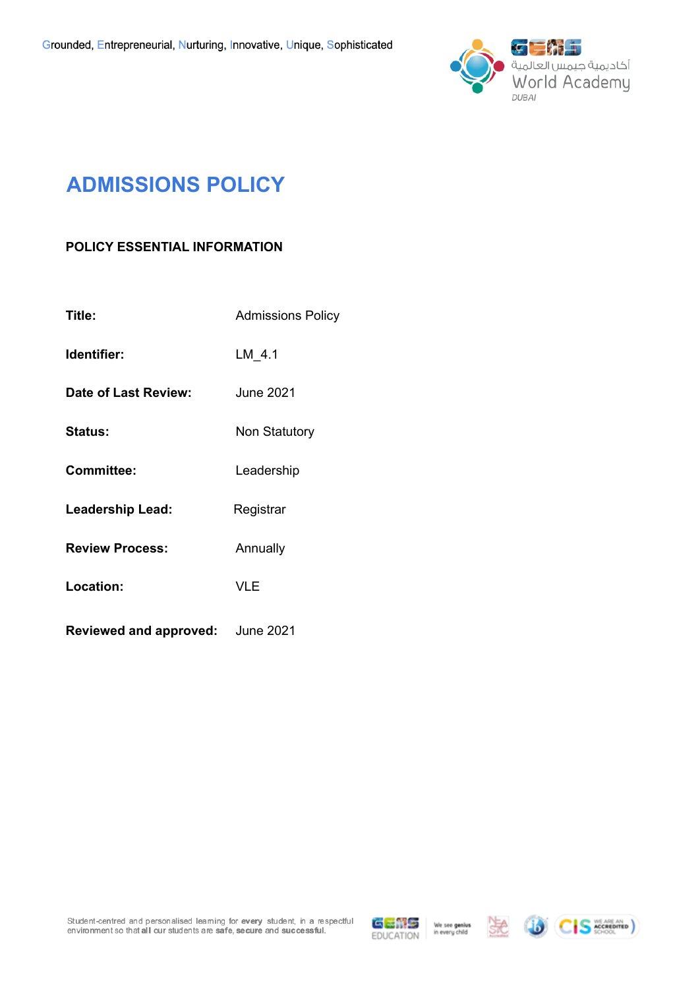

# **ADMISSIONS POLICY**

# **POLICY ESSENTIAL INFORMATION**

| Title:                        | <b>Admissions Policy</b> |  |  |
|-------------------------------|--------------------------|--|--|
| Identifier:                   | LM 4.1                   |  |  |
| Date of Last Review:          | <b>June 2021</b>         |  |  |
| <b>Status:</b>                | Non Statutory            |  |  |
| <b>Committee:</b>             | Leadership               |  |  |
| <b>Leadership Lead:</b>       | Registrar                |  |  |
| <b>Review Process:</b>        | Annually                 |  |  |
| Location:                     | VLE                      |  |  |
| <b>Reviewed and approved:</b> | <b>June 2021</b>         |  |  |

Student-centred and personalised leaming for every student, in a respectful<br>environment so that all our students are safe, secure and success ful.







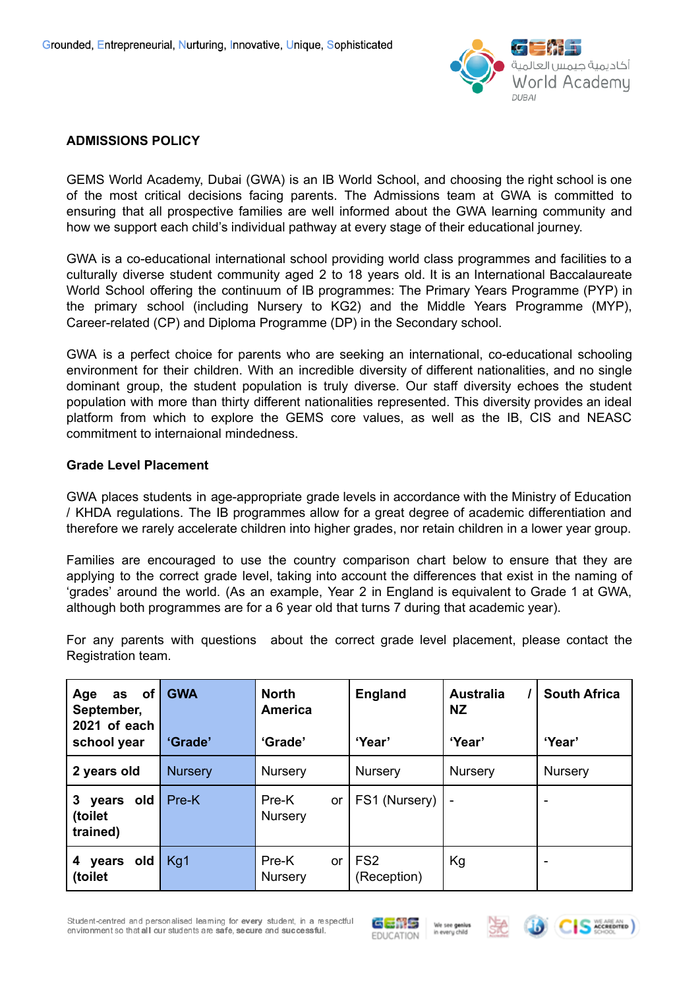

## **ADMISSIONS POLICY**

GEMS World Academy, Dubai (GWA) is an IB World School, and choosing the right school is one of the most critical decisions facing parents. The Admissions team at GWA is committed to ensuring that all prospective families are well informed about the GWA learning community and how we support each child's individual pathway at every stage of their educational journey.

GWA is a co-educational international school providing world class programmes and facilities to a culturally diverse student community aged 2 to 18 years old. It is an International Baccalaureate World School offering the continuum of IB programmes: The Primary Years Programme (PYP) in the primary school (including Nursery to KG2) and the Middle Years Programme (MYP), Career-related (CP) and Diploma Programme (DP) in the Secondary school.

GWA is a perfect choice for parents who are seeking an international, co-educational schooling environment for their children. With an incredible diversity of different nationalities, and no single dominant group, the student population is truly diverse. Our staff diversity echoes the student population with more than thirty different nationalities represented. This diversity provides an ideal platform from which to explore the GEMS core values, as well as the IB, CIS and NEASC commitment to internaional mindedness.

#### **Grade Level Placement**

GWA places students in age-appropriate grade levels in accordance with the Ministry of Education / KHDA regulations. The IB programmes allow for a great degree of academic differentiation and therefore we rarely accelerate children into higher grades, nor retain children in a lower year group.

Families are encouraged to use the country comparison chart below to ensure that they are applying to the correct grade level, taking into account the differences that exist in the naming of 'grades' around the world. (As an example, Year 2 in England is equivalent to Grade 1 at GWA, although both programmes are for a 6 year old that turns 7 during that academic year).

For any parents with questions about the correct grade level placement, please contact the Registration team.

| as of<br>Age<br>September,<br>2021 of each<br>school year | <b>GWA</b><br>'Grade' | <b>North</b><br><b>America</b><br>'Grade' | <b>England</b><br>'Year'       | <b>Australia</b><br>NZ.<br>'Year' | <b>South Africa</b><br>'Year' |
|-----------------------------------------------------------|-----------------------|-------------------------------------------|--------------------------------|-----------------------------------|-------------------------------|
| 2 years old                                               | <b>Nursery</b>        | <b>Nursery</b>                            | Nursery                        | Nursery                           | <b>Nursery</b>                |
| $3 -$<br>years old<br>(toilet<br>trained)                 | Pre-K                 | Pre-K<br><b>or</b><br><b>Nursery</b>      | FS1 (Nursery)                  |                                   |                               |
| years old<br>4<br>(toilet                                 | Kg1                   | Pre-K<br>or<br>Nursery                    | FS <sub>2</sub><br>(Reception) | Kg                                |                               |

Student-centred and personalised leaming for every student, in a respectful environment so that all our students are safe, secure and successful.





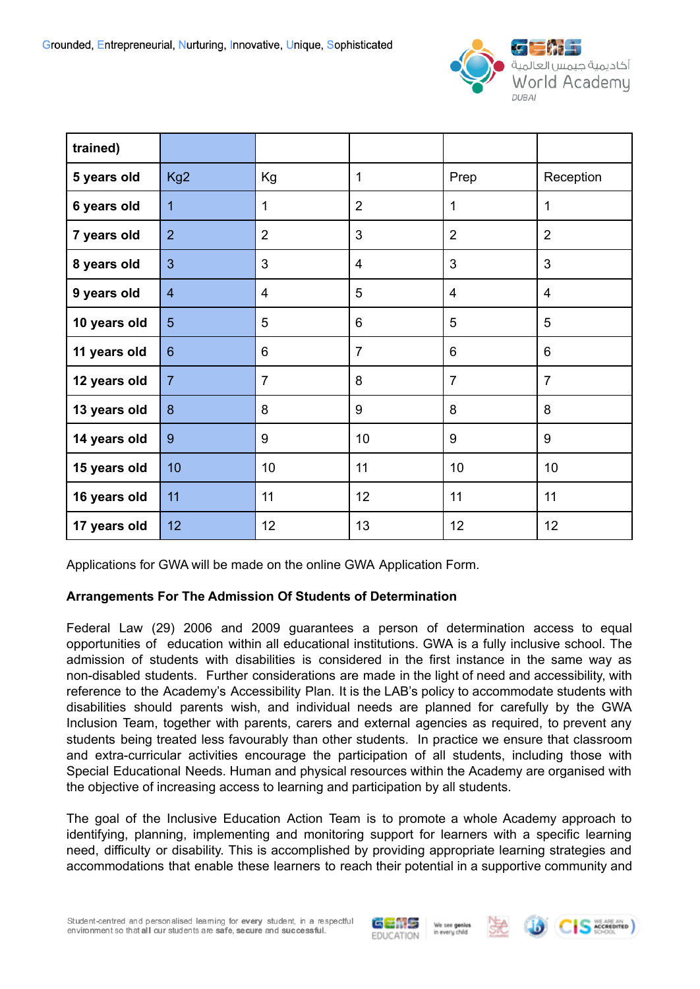

| trained)     |                 |                |                 |                |                |
|--------------|-----------------|----------------|-----------------|----------------|----------------|
| 5 years old  | Kg <sub>2</sub> | Kg             | $\mathbf{1}$    | Prep           | Reception      |
| 6 years old  | 1               | 1              | $\overline{2}$  | 1              | 1              |
| 7 years old  | $\overline{2}$  | $\overline{2}$ | 3               | $\overline{2}$ | $\overline{2}$ |
| 8 years old  | 3               | 3              | $\overline{4}$  | 3              | 3              |
| 9 years old  | $\overline{4}$  | $\overline{4}$ | 5               | 4              | $\overline{4}$ |
| 10 years old | 5               | 5              | $6\phantom{1}6$ | 5              | 5              |
| 11 years old | $6\phantom{1}$  | 6              | $\overline{7}$  | 6              | 6              |
| 12 years old | $\overline{7}$  | $\overline{7}$ | 8               | $\overline{7}$ | $\overline{7}$ |
| 13 years old | 8               | 8              | 9               | 8              | 8              |
| 14 years old | 9               | 9              | 10              | 9              | 9              |
| 15 years old | 10              | 10             | 11              | 10             | 10             |
| 16 years old | 11              | 11             | 12              | 11             | 11             |
| 17 years old | 12              | 12             | 13              | 12             | 12             |

Applications for GWA will be made on the online GWA Application Form.

## **Arrangements For The Admission Of Students of Determination**

Federal Law (29) 2006 and 2009 guarantees a person of determination access to equal opportunities of education within all educational institutions. GWA is a fully inclusive school. The admission of students with disabilities is considered in the first instance in the same way as non-disabled students. Further considerations are made in the light of need and accessibility, with reference to the Academy's Accessibility Plan. It is the LAB's policy to accommodate students with disabilities should parents wish, and individual needs are planned for carefully by the GWA Inclusion Team, together with parents, carers and external agencies as required, to prevent any students being treated less favourably than other students. In practice we ensure that classroom and extra-curricular activities encourage the participation of all students, including those with Special Educational Needs. Human and physical resources within the Academy are organised with the objective of increasing access to learning and participation by all students.

The goal of the Inclusive Education Action Team is to promote a whole Academy approach to identifying, planning, implementing and monitoring support for learners with a specific learning need, difficulty or disability. This is accomplished by providing appropriate learning strategies and accommodations that enable these learners to reach their potential in a supportive community and







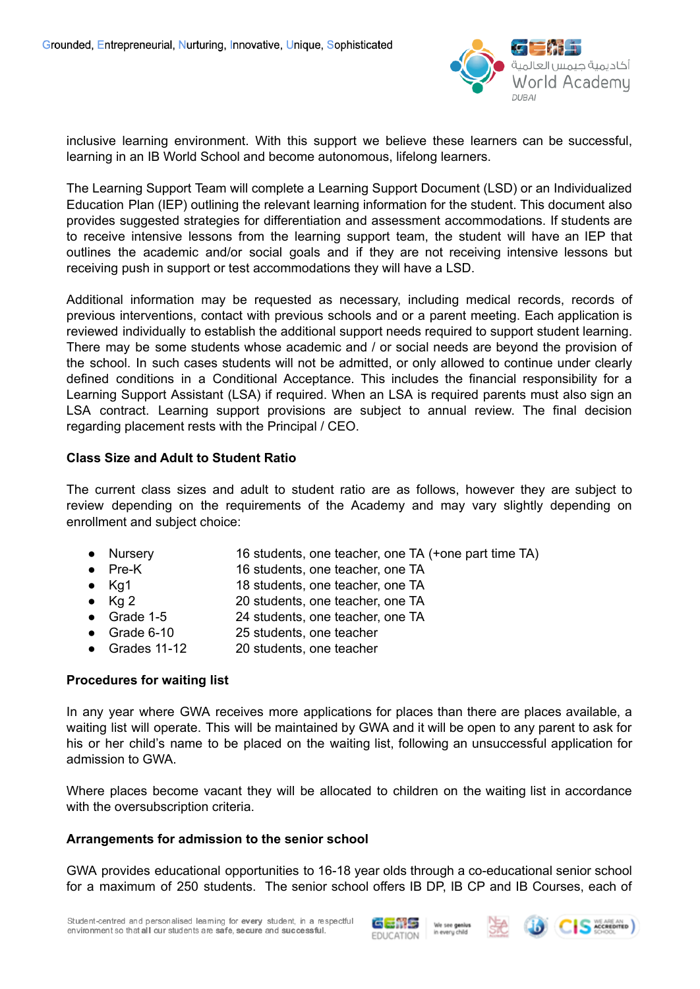

inclusive learning environment. With this support we believe these learners can be successful, learning in an IB World School and become autonomous, lifelong learners.

The Learning Support Team will complete a Learning Support Document (LSD) or an Individualized Education Plan (IEP) outlining the relevant learning information for the student. This document also provides suggested strategies for differentiation and assessment accommodations. If students are to receive intensive lessons from the learning support team, the student will have an IEP that outlines the academic and/or social goals and if they are not receiving intensive lessons but receiving push in support or test accommodations they will have a LSD.

Additional information may be requested as necessary, including medical records, records of previous interventions, contact with previous schools and or a parent meeting. Each application is reviewed individually to establish the additional support needs required to support student learning. There may be some students whose academic and / or social needs are beyond the provision of the school. In such cases students will not be admitted, or only allowed to continue under clearly defined conditions in a Conditional Acceptance. This includes the financial responsibility for a Learning Support Assistant (LSA) if required. When an LSA is required parents must also sign an LSA contract. Learning support provisions are subject to annual review. The final decision regarding placement rests with the Principal / CEO.

## **Class Size and Adult to Student Ratio**

The current class sizes and adult to student ratio are as follows, however they are subject to review depending on the requirements of the Academy and may vary slightly depending on enrollment and subject choice:

- Nursery 16 students, one teacher, one TA (+one part time TA)
- Pre-K 16 students, one teacher, one TA
- Kg1 18 students, one teacher, one TA
- Kg 2 20 students, one teacher, one TA
- Grade 1-5 24 students, one teacher, one TA
- Grade 6-10 25 students, one teacher
- Grades 11-12 20 students, one teacher

## **Procedures for waiting list**

In any year where GWA receives more applications for places than there are places available, a waiting list will operate. This will be maintained by GWA and it will be open to any parent to ask for his or her child's name to be placed on the waiting list, following an unsuccessful application for admission to GWA.

Where places become vacant they will be allocated to children on the waiting list in accordance with the oversubscription criteria.

#### **Arrangements for admission to the senior school**

GWA provides educational opportunities to 16-18 year olds through a co-educational senior school for a maximum of 250 students. The senior school offers IB DP, IB CP and IB Courses, each of





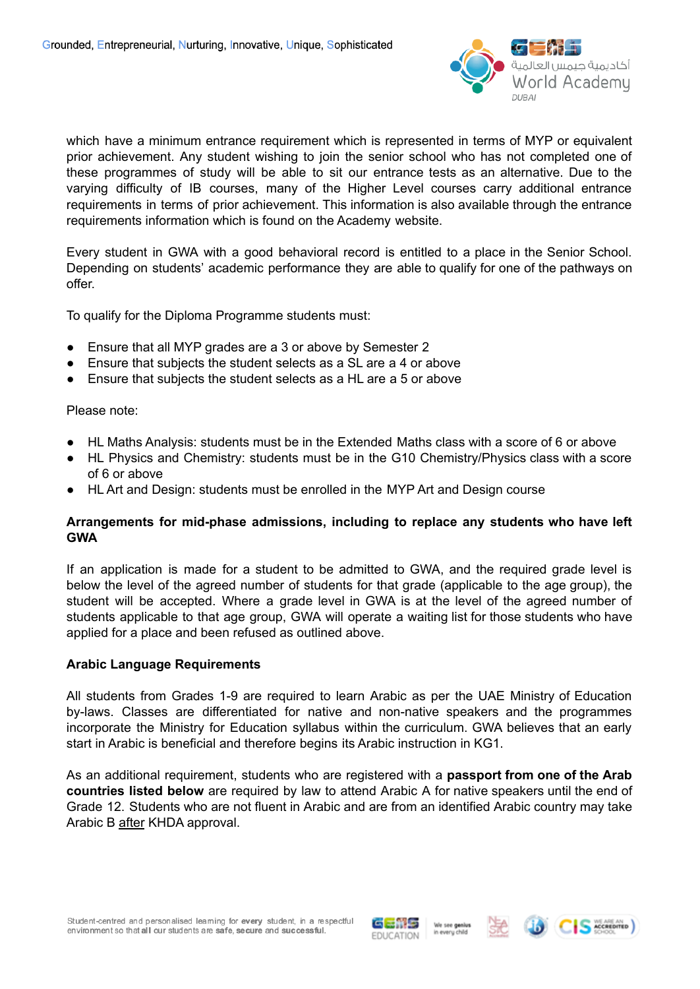

which have a minimum entrance requirement which is represented in terms of MYP or equivalent prior achievement. Any student wishing to join the senior school who has not completed one of these programmes of study will be able to sit our entrance tests as an alternative. Due to the varying difficulty of IB courses, many of the Higher Level courses carry additional entrance requirements in terms of prior achievement. This information is also available through the entrance requirements information which is found on the Academy website.

Every student in GWA with a good behavioral record is entitled to a place in the Senior School. Depending on students' academic performance they are able to qualify for one of the pathways on offer.

To qualify for the Diploma Programme students must:

- Ensure that all MYP grades are a 3 or above by Semester 2
- Ensure that subiects the student selects as a SL are a 4 or above
- Ensure that subjects the student selects as a HL are a 5 or above

## Please note:

- HL Maths Analysis: students must be in the Extended Maths class with a score of 6 or above
- HL Physics and Chemistry: students must be in the G10 Chemistry/Physics class with a score of 6 or above
- HL Art and Design: students must be enrolled in the MYP Art and Design course

## **Arrangements for mid-phase admissions, including to replace any students who have left GWA**

If an application is made for a student to be admitted to GWA, and the required grade level is below the level of the agreed number of students for that grade (applicable to the age group), the student will be accepted. Where a grade level in GWA is at the level of the agreed number of students applicable to that age group, GWA will operate a waiting list for those students who have applied for a place and been refused as outlined above.

## **Arabic Language Requirements**

All students from Grades 1-9 are required to learn Arabic as per the UAE Ministry of Education by-laws. Classes are differentiated for native and non-native speakers and the programmes incorporate the Ministry for Education syllabus within the curriculum. GWA believes that an early start in Arabic is beneficial and therefore begins its Arabic instruction in KG1.

As an additional requirement, students who are registered with a **passport from one of the Arab countries listed below** are required by law to attend Arabic A for native speakers until the end of Grade 12. Students who are not fluent in Arabic and are from an identified Arabic country may take Arabic B after KHDA approval.





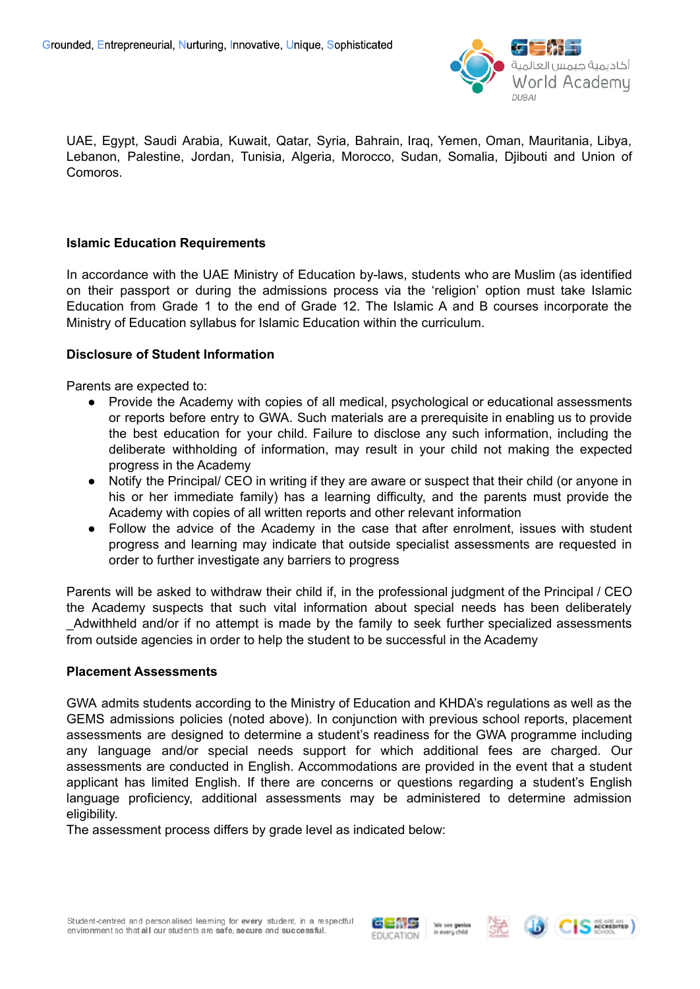

UAE, Egypt, Saudi Arabia, Kuwait, Qatar, Syria, Bahrain, Iraq, Yemen, Oman, Mauritania, Libya, Lebanon, Palestine, Jordan, Tunisia, Algeria, Morocco, Sudan, Somalia, Djibouti and Union of Comoros.

## **Islamic Education Requirements**

In accordance with the UAE Ministry of Education by-laws, students who are Muslim (as identified on their passport or during the admissions process via the 'religion' option must take Islamic Education from Grade 1 to the end of Grade 12. The Islamic A and B courses incorporate the Ministry of Education syllabus for Islamic Education within the curriculum.

#### **Disclosure of Student Information**

Parents are expected to:

- Provide the Academy with copies of all medical, psychological or educational assessments or reports before entry to GWA. Such materials are a prerequisite in enabling us to provide the best education for your child. Failure to disclose any such information, including the deliberate withholding of information, may result in your child not making the expected progress in the Academy
- Notify the Principal/ CEO in writing if they are aware or suspect that their child (or anyone in his or her immediate family) has a learning difficulty, and the parents must provide the Academy with copies of all written reports and other relevant information
- Follow the advice of the Academy in the case that after enrolment, issues with student progress and learning may indicate that outside specialist assessments are requested in order to further investigate any barriers to progress

Parents will be asked to withdraw their child if, in the professional judgment of the Principal / CEO the Academy suspects that such vital information about special needs has been deliberately \_Adwithheld and/or if no attempt is made by the family to seek further specialized assessments from outside agencies in order to help the student to be successful in the Academy

#### **Placement Assessments**

GWA admits students according to the Ministry of Education and KHDA's regulations as well as the GEMS admissions policies (noted above). In conjunction with previous school reports, placement assessments are designed to determine a student's readiness for the GWA programme including any language and/or special needs support for which additional fees are charged. Our assessments are conducted in English. Accommodations are provided in the event that a student applicant has limited English. If there are concerns or questions regarding a student's English language proficiency, additional assessments may be administered to determine admission eligibility.

The assessment process differs by grade level as indicated below: